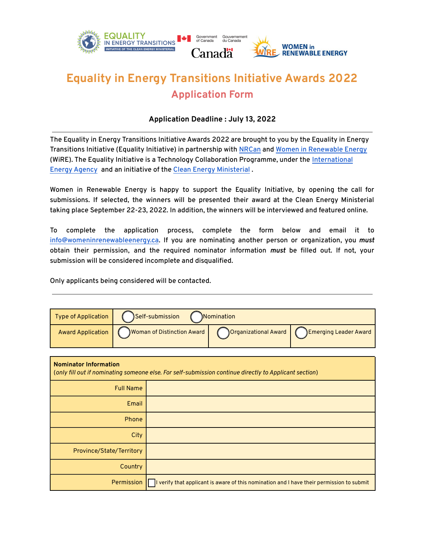

## **Equality in Energy Transitions Initiative Awards 2022 Application Form**

## **Application Deadline : July 13, 2022**

The Equality in Energy Transitions Initiative Awards 2022 are brought to you by the Equality in Energy Transitions Initiative (Equality Initiative) in partnership with [NRCan](https://www.nrcan.gc.ca/home) and [Women in Renewable Energy](http://www.womeninrenewableenergy.ca) (WiRE). The Equality Initiative is a Technology Collaboration Programme, under the Inter[national](https://www.iea.org/)  [Energy Agency](https://www.iea.org/) and an initiative of the [Clean Energy Ministerial](https://www.cleanenergyministerial.org/) .

Women in Renewable Energy is happy to support the Equality Initiative, by opening the call for submissions. If selected, the winners will be presented their award at the Clean Energy Ministerial taking place September 22-23, 2022. In addition, the winners will be interviewed and featured online.

To complete the application process, complete the form below and email it to [info@womeninrenewableenergy.ca.](mailto:info@womeninrenewableenergy.ca) If you are nominating another person or organization, you *must* obtain their permission, and the required nominator information *must* be filled out. If not, your submission will be considered incomplete and disqualified.

Only applicants being considered will be contacted.

| <b>Type of Application</b>                                                                                                             | <b>Self-submission</b><br>Nomination |                                                                                           |                              |  |
|----------------------------------------------------------------------------------------------------------------------------------------|--------------------------------------|-------------------------------------------------------------------------------------------|------------------------------|--|
| <b>Award Application</b>                                                                                                               | <b>Woman of Distinction Award</b>    | Organizational Award                                                                      | <b>Emerging Leader Award</b> |  |
|                                                                                                                                        |                                      |                                                                                           |                              |  |
| <b>Nominator Information</b><br>(only fill out if nominating someone else. For self-submission continue directly to Applicant section) |                                      |                                                                                           |                              |  |
| <b>Full Name</b>                                                                                                                       |                                      |                                                                                           |                              |  |
|                                                                                                                                        | Email                                |                                                                                           |                              |  |
|                                                                                                                                        | <b>Phone</b>                         |                                                                                           |                              |  |
|                                                                                                                                        | City                                 |                                                                                           |                              |  |
| Province/State/Territory                                                                                                               |                                      |                                                                                           |                              |  |
| Country                                                                                                                                |                                      |                                                                                           |                              |  |
| Permission                                                                                                                             |                                      | I verify that applicant is aware of this nomination and I have their permission to submit |                              |  |